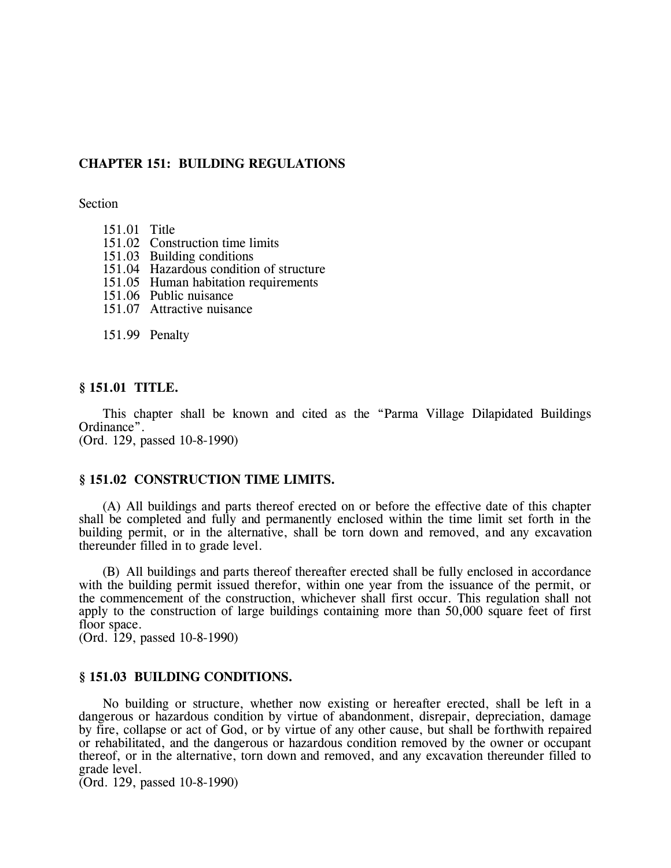# **CHAPTER 151: BUILDING REGULATIONS**

Section

- 151.01 Title
- 151.02 Construction time limits
- 151.03 Building conditions
- 151.04 Hazardous condition of structure
- 151.05 Human habitation requirements
- 151.06 Public nuisance
- 151.07 Attractive nuisance

151.99 Penalty

## **§ 151.01 TITLE.**

This chapter shall be known and cited as the "Parma Village Dilapidated Buildings Ordinance".

(Ord. 129, passed 10-8-1990)

## **§ 151.02 CONSTRUCTION TIME LIMITS.**

(A) All buildings and parts thereof erected on or before the effective date of this chapter shall be completed and fully and permanently enclosed within the time limit set forth in the building permit, or in the alternative, shall be torn down and removed, and any excavation thereunder filled in to grade level.

(B) All buildings and parts thereof thereafter erected shall be fully enclosed in accordance with the building permit issued therefor, within one year from the issuance of the permit, or the commencement of the construction, whichever shall first occur. This regulation shall not apply to the construction of large buildings containing more than 50,000 square feet of first floor space.

(Ord. 129, passed 10-8-1990)

#### **§ 151.03 BUILDING CONDITIONS.**

No building or structure, whether now existing or hereafter erected, shall be left in a dangerous or hazardous condition by virtue of abandonment, disrepair, depreciation, damage by fire, collapse or act of God, or by virtue of any other cause, but shall be forthwith repaired or rehabilitated, and the dangerous or hazardous condition removed by the owner or occupant thereof, or in the alternative, torn down and removed, and any excavation thereunder filled to grade level.

(Ord. 129, passed 10-8-1990)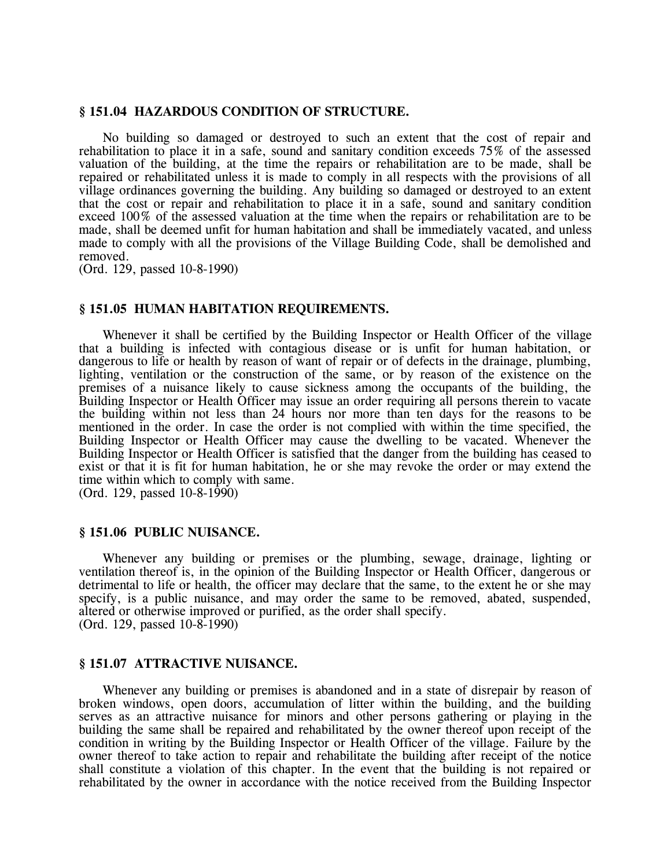### **§ 151.04 HAZARDOUS CONDITION OF STRUCTURE.**

No building so damaged or destroyed to such an extent that the cost of repair and rehabilitation to place it in a safe, sound and sanitary condition exceeds 75% of the assessed valuation of the building, at the time the repairs or rehabilitation are to be made, shall be repaired or rehabilitated unless it is made to comply in all respects with the provisions of all village ordinances governing the building. Any building so damaged or destroyed to an extent that the cost or repair and rehabilitation to place it in a safe, sound and sanitary condition exceed 100% of the assessed valuation at the time when the repairs or rehabilitation are to be made, shall be deemed unfit for human habitation and shall be immediately vacated, and unless made to comply with all the provisions of the Village Building Code, shall be demolished and removed.

(Ord. 129, passed 10-8-1990)

### **§ 151.05 HUMAN HABITATION REQUIREMENTS.**

Whenever it shall be certified by the Building Inspector or Health Officer of the village that a building is infected with contagious disease or is unfit for human habitation, or dangerous to life or health by reason of want of repair or of defects in the drainage, plumbing, lighting, ventilation or the construction of the same, or by reason of the existence on the premises of a nuisance likely to cause sickness among the occupants of the building, the Building Inspector or Health Officer may issue an order requiring all persons therein to vacate the building within not less than 24 hours nor more than ten days for the reasons to be mentioned in the order. In case the order is not complied with within the time specified, the Building Inspector or Health Officer may cause the dwelling to be vacated. Whenever the Building Inspector or Health Officer is satisfied that the danger from the building has ceased to exist or that it is fit for human habitation, he or she may revoke the order or may extend the time within which to comply with same.

(Ord. 129, passed 10-8-1990)

### **§ 151.06 PUBLIC NUISANCE.**

Whenever any building or premises or the plumbing, sewage, drainage, lighting or ventilation thereof is, in the opinion of the Building Inspector or Health Officer, dangerous or detrimental to life or health, the officer may declare that the same, to the extent he or she may specify, is a public nuisance, and may order the same to be removed, abated, suspended, altered or otherwise improved or purified, as the order shall specify. (Ord. 129, passed 10-8-1990)

### **§ 151.07 ATTRACTIVE NUISANCE.**

Whenever any building or premises is abandoned and in a state of disrepair by reason of broken windows, open doors, accumulation of litter within the building, and the building serves as an attractive nuisance for minors and other persons gathering or playing in the building the same shall be repaired and rehabilitated by the owner thereof upon receipt of the condition in writing by the Building Inspector or Health Officer of the village. Failure by the owner thereof to take action to repair and rehabilitate the building after receipt of the notice shall constitute a violation of this chapter. In the event that the building is not repaired or rehabilitated by the owner in accordance with the notice received from the Building Inspector